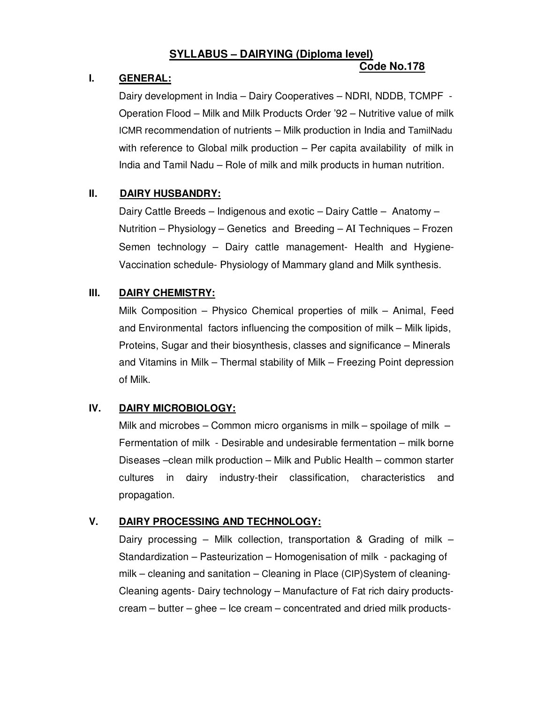### **SYLLABUS – DAIRYING (Diploma level) Code No.178**

# **I. GENERAL:**

 Dairy development in India – Dairy Cooperatives – NDRI, NDDB, TCMPF - Operation Flood – Milk and Milk Products Order '92 – Nutritive value of milk ICMR recommendation of nutrients – Milk production in India and TamilNadu with reference to Global milk production – Per capita availability of milk in India and Tamil Nadu – Role of milk and milk products in human nutrition.

# **II. DAIRY HUSBANDRY:**

 Dairy Cattle Breeds – Indigenous and exotic – Dairy Cattle – Anatomy – Nutrition – Physiology – Genetics and Breeding – AI Techniques – Frozen Semen technology – Dairy cattle management- Health and Hygiene-Vaccination schedule- Physiology of Mammary gland and Milk synthesis.

## **III. DAIRY CHEMISTRY:**

Milk Composition – Physico Chemical properties of milk – Animal, Feed and Environmental factors influencing the composition of milk – Milk lipids, Proteins, Sugar and their biosynthesis, classes and significance – Minerals and Vitamins in Milk – Thermal stability of Milk – Freezing Point depression of Milk.

# **IV. DAIRY MICROBIOLOGY:**

 Milk and microbes – Common micro organisms in milk – spoilage of milk – Fermentation of milk - Desirable and undesirable fermentation – milk borne Diseases –clean milk production – Milk and Public Health – common starter cultures in dairy industry-their classification, characteristics and propagation.

# **V. DAIRY PROCESSING AND TECHNOLOGY:**

Dairy processing – Milk collection, transportation & Grading of milk – Standardization – Pasteurization – Homogenisation of milk - packaging of milk – cleaning and sanitation – Cleaning in Place (CIP)System of cleaning-Cleaning agents- Dairy technology – Manufacture of Fat rich dairy productscream – butter – ghee – Ice cream – concentrated and dried milk products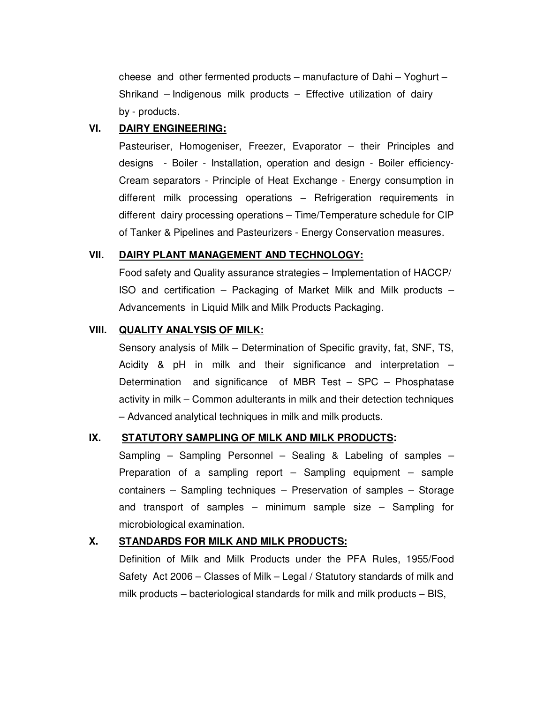cheese and other fermented products – manufacture of Dahi – Yoghurt – Shrikand – Indigenous milk products – Effective utilization of dairy by - products.

## **VI. DAIRY ENGINEERING:**

Pasteuriser, Homogeniser, Freezer, Evaporator – their Principles and designs - Boiler - Installation, operation and design - Boiler efficiency-Cream separators - Principle of Heat Exchange - Energy consumption in different milk processing operations – Refrigeration requirements in different dairy processing operations – Time/Temperature schedule for CIP of Tanker & Pipelines and Pasteurizers - Energy Conservation measures.

#### **VII. DAIRY PLANT MANAGEMENT AND TECHNOLOGY:**

 Food safety and Quality assurance strategies – Implementation of HACCP/ ISO and certification – Packaging of Market Milk and Milk products – Advancements in Liquid Milk and Milk Products Packaging.

### **VIII. QUALITY ANALYSIS OF MILK:**

Sensory analysis of Milk – Determination of Specific gravity, fat, SNF, TS, Acidity & pH in milk and their significance and interpretation – Determination and significance of MBR Test – SPC – Phosphatase activity in milk – Common adulterants in milk and their detection techniques – Advanced analytical techniques in milk and milk products.

### **IX. STATUTORY SAMPLING OF MILK AND MILK PRODUCTS:**

Sampling – Sampling Personnel – Sealing & Labeling of samples – Preparation of a sampling report – Sampling equipment – sample containers – Sampling techniques – Preservation of samples – Storage and transport of samples – minimum sample size – Sampling for microbiological examination.

### **X. STANDARDS FOR MILK AND MILK PRODUCTS:**

Definition of Milk and Milk Products under the PFA Rules, 1955/Food Safety Act 2006 – Classes of Milk – Legal / Statutory standards of milk and milk products – bacteriological standards for milk and milk products – BIS,